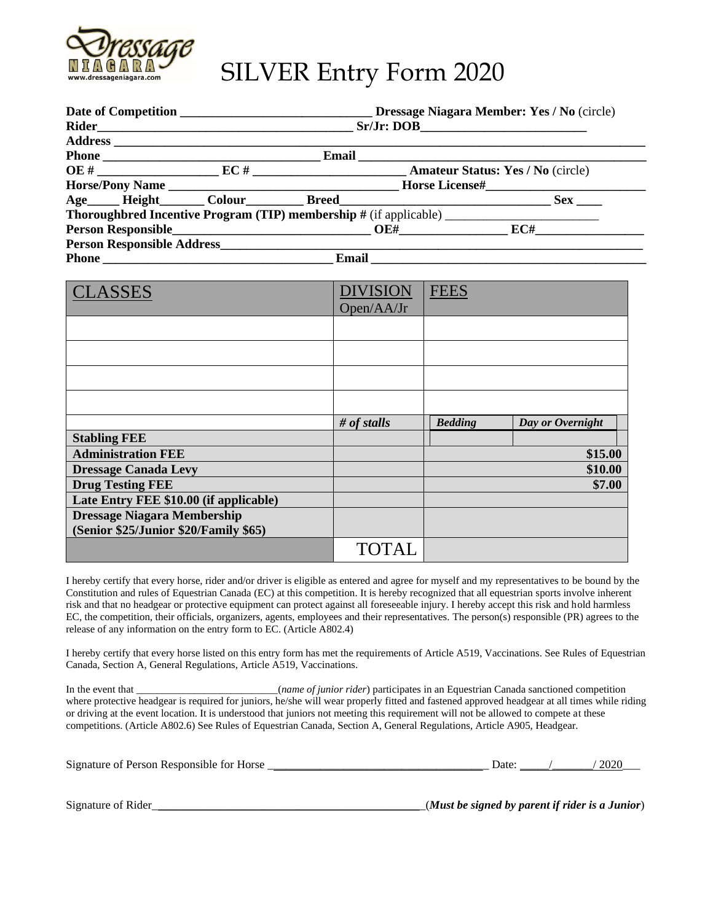

# SILVER Entry Form 2020

| Dressage Niagara Member: Yes / No (circle) |            |       |                                                                                                                                                                                                                                                                                                                                                         |  |  |
|--------------------------------------------|------------|-------|---------------------------------------------------------------------------------------------------------------------------------------------------------------------------------------------------------------------------------------------------------------------------------------------------------------------------------------------------------|--|--|
|                                            | Sr/Jr: DOB |       |                                                                                                                                                                                                                                                                                                                                                         |  |  |
|                                            |            |       |                                                                                                                                                                                                                                                                                                                                                         |  |  |
|                                            | Email      |       |                                                                                                                                                                                                                                                                                                                                                         |  |  |
|                                            |            |       | $\overline{OC}$ # $\overline{EC}$ = $\overline{EC}$ + $\overline{EC}$ + $\overline{C}$ + $\overline{C}$ + $\overline{C}$ + $\overline{C}$ + $\overline{C}$ + $\overline{C}$ + $\overline{C}$ + $\overline{C}$ + $\overline{C}$ + $\overline{C}$ + $\overline{C}$ + $\overline{C}$ + $\overline{C}$ + $\overline{C}$ + $\overline{C}$ + $\overline{C}$ + |  |  |
|                                            |            |       |                                                                                                                                                                                                                                                                                                                                                         |  |  |
|                                            |            |       | <b>Sex</b>                                                                                                                                                                                                                                                                                                                                              |  |  |
|                                            |            |       |                                                                                                                                                                                                                                                                                                                                                         |  |  |
|                                            |            |       | <b>Person Responsible EXACTE CONSUMING THE CONSUMING TO BE A RECORD FOR THE CONSUMING TO BE A RECORD FOR THE CONSUMING TO BE A RECORD FOR THE CONSUMING TO BE A RECORD FOR THE CONSUMER.</b>                                                                                                                                                            |  |  |
|                                            |            |       |                                                                                                                                                                                                                                                                                                                                                         |  |  |
|                                            |            | Email |                                                                                                                                                                                                                                                                                                                                                         |  |  |

| <b>CLASSES</b>                         | <b>DIVISION</b> | <b>FEES</b>    |                  |
|----------------------------------------|-----------------|----------------|------------------|
|                                        | Open/AA/Jr      |                |                  |
|                                        |                 |                |                  |
|                                        |                 |                |                  |
|                                        |                 |                |                  |
|                                        |                 |                |                  |
|                                        |                 |                |                  |
|                                        | # of stalls     | <b>Bedding</b> | Day or Overnight |
| <b>Stabling FEE</b>                    |                 |                |                  |
| <b>Administration FEE</b>              |                 |                | \$15.00          |
| <b>Dressage Canada Levy</b>            |                 |                | \$10.00          |
| <b>Drug Testing FEE</b>                |                 |                | \$7.00           |
| Late Entry FEE \$10.00 (if applicable) |                 |                |                  |
| <b>Dressage Niagara Membership</b>     |                 |                |                  |
| (Senior \$25/Junior \$20/Family \$65)  |                 |                |                  |
|                                        | <b>TOTAL</b>    |                |                  |

I hereby certify that every horse, rider and/or driver is eligible as entered and agree for myself and my representatives to be bound by the Constitution and rules of Equestrian Canada (EC) at this competition. It is hereby recognized that all equestrian sports involve inherent risk and that no headgear or protective equipment can protect against all foreseeable injury. I hereby accept this risk and hold harmless EC, the competition, their officials, organizers, agents, employees and their representatives. The person(s) responsible (PR) agrees to the release of any information on the entry form to EC. (Article A802.4)

I hereby certify that every horse listed on this entry form has met the requirements of Article A519, Vaccinations. See Rules of Equestrian Canada, Section A, General Regulations, Article A519, Vaccinations.

In the event that \_\_\_\_\_\_\_\_\_\_\_\_\_\_\_\_\_\_\_\_\_\_\_\_\_\_\_(*name of junior rider*) participates in an Equestrian Canada sanctioned competition where protective headgear is required for juniors, he/she will wear properly fitted and fastened approved headgear at all times while riding or driving at the event location. It is understood that juniors not meeting this requirement will not be allowed to compete at these competitions. (Article A802.6) See Rules of Equestrian Canada, Section A, General Regulations, Article A905, Headgear.

| Signature of Person Responsible for Horse | Jate | 2020 |
|-------------------------------------------|------|------|
|                                           |      |      |

Signature of Rider\_\_\_\_\_\_\_\_\_\_\_\_\_\_\_\_\_\_\_\_\_\_\_\_\_\_\_\_\_\_\_\_\_\_\_\_\_\_\_\_\_\_\_\_\_\_\_(*Must be signed by parent if rider is a Junior*)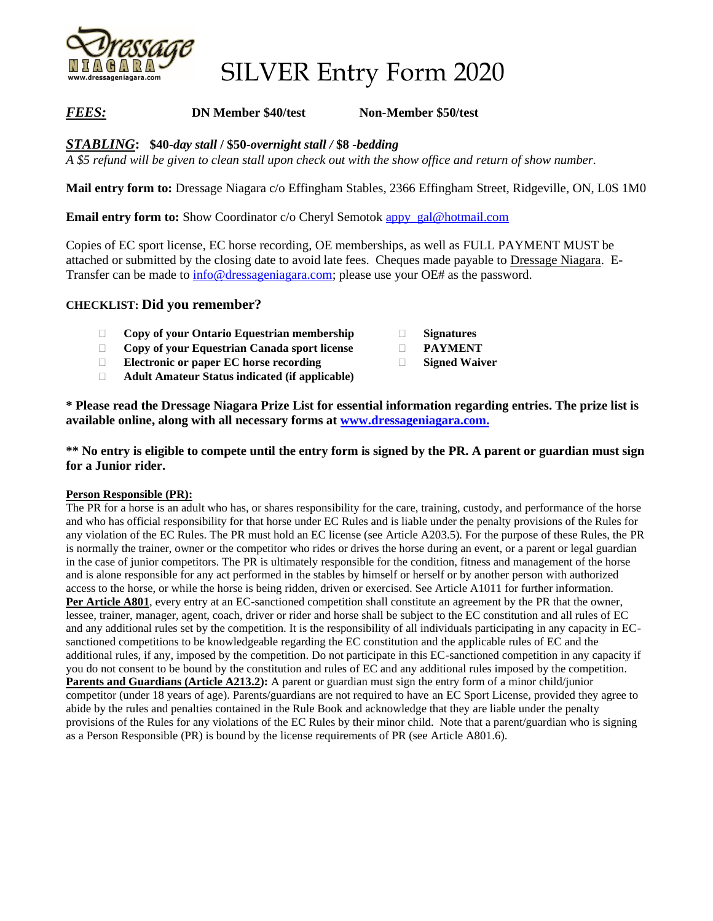

SILVER Entry Form 2020

# *FEES:* **DN Member \$40/test Non-Member \$50/test**

*STABLING***: \$40-***day stall* **/ \$50-***overnight stall /* **\$8** *-bedding*

*A \$5 refund will be given to clean stall upon check out with the show office and return of show number.*

**Mail entry form to:** Dressage Niagara c/o Effingham Stables, 2366 Effingham Street, Ridgeville, ON, L0S 1M0

**Email entry form to:** Show Coordinator c/o Cheryl Semotok [appy\\_gal@hotmail.com](mailto:appy_gal@hotmail.com)

Copies of EC sport license, EC horse recording, OE memberships, as well as FULL PAYMENT MUST be attached or submitted by the closing date to avoid late fees. Cheques made payable to Dressage Niagara. ETransfer can be made to [info@dressageniagara.com;](mailto:info@dressageniagara.com) please use your OE# as the password.

## **CHECKLIST: Did you remember?**

- **Copy of your Ontario Equestrian membership**
- **Copy of your Equestrian Canada sport license**
- **Electronic or paper EC horse recording**
- **Adult Amateur Status indicated (if applicable)**
- **Signatures**
- **PAYMENT**
- **Signed Waiver**

**\* Please read the Dressage Niagara Prize List for essential information regarding entries. The prize list is available online, along with all necessary forms at [www.dressageniagara.com.](http://www.dressageniagara.com/)**

**\*\* No entry is eligible to compete until the entry form is signed by the PR. A parent or guardian must sign for a Junior rider.** 

### **Person Responsible (PR):**

The PR for a horse is an adult who has, or shares responsibility for the care, training, custody, and performance of the horse and who has official responsibility for that horse under EC Rules and is liable under the penalty provisions of the Rules for any violation of the EC Rules. The PR must hold an EC license (see Article A203.5). For the purpose of these Rules, the PR is normally the trainer, owner or the competitor who rides or drives the horse during an event, or a parent or legal guardian in the case of junior competitors. The PR is ultimately responsible for the condition, fitness and management of the horse and is alone responsible for any act performed in the stables by himself or herself or by another person with authorized access to the horse, or while the horse is being ridden, driven or exercised. See Article A1011 for further information. **Per Article A801**, every entry at an EC-sanctioned competition shall constitute an agreement by the PR that the owner, lessee, trainer, manager, agent, coach, driver or rider and horse shall be subject to the EC constitution and all rules of EC and any additional rules set by the competition. It is the responsibility of all individuals participating in any capacity in ECsanctioned competitions to be knowledgeable regarding the EC constitution and the applicable rules of EC and the additional rules, if any, imposed by the competition. Do not participate in this EC-sanctioned competition in any capacity if you do not consent to be bound by the constitution and rules of EC and any additional rules imposed by the competition. **Parents and Guardians (Article A213.2):** A parent or guardian must sign the entry form of a minor child/junior competitor (under 18 years of age). Parents/guardians are not required to have an EC Sport License, provided they agree to abide by the rules and penalties contained in the Rule Book and acknowledge that they are liable under the penalty provisions of the Rules for any violations of the EC Rules by their minor child. Note that a parent/guardian who is signing as a Person Responsible (PR) is bound by the license requirements of PR (see Article A801.6).